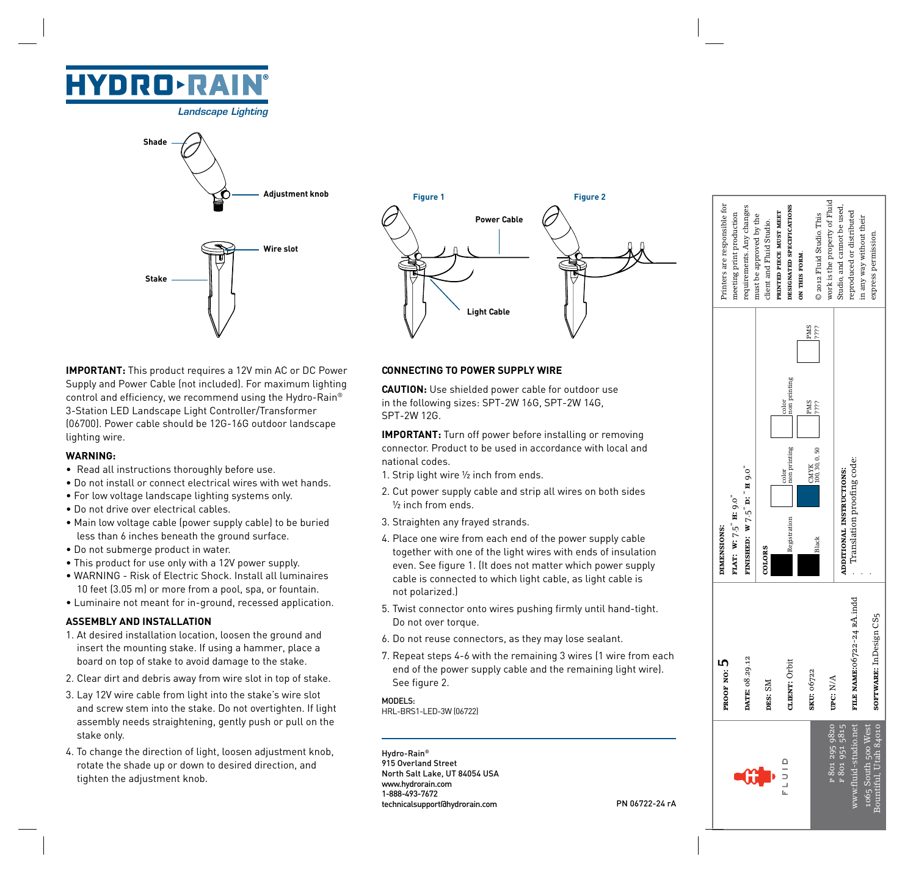# **HYDRO-RAIN**

*Landscape Lighting*





**IMPORTANT:** This product requires a 12V min AC or DC Power Supply and Power Cable (not included). For maximum lighting control and efficiency, we recommend using the Hydro-Rain® 3-Station LED Landscape Light Controller/Transformer (06700). Power cable should be 12G-16G outdoor landscape lighting wire.

### **WARNING:**

- Read all instructions thoroughly before use.
- Do not install or connect electrical wires with wet hands.
- For low voltage landscape lighting systems only.
- Do not drive over electrical cables.
- Main low voltage cable (power supply cable) to be buried less than 6 inches beneath the ground surface.
- Do not submerge product in water.
- This product for use only with a 12V power supply.
- WARNING Risk of Electric Shock. Install all luminaires 10 feet (3.05 m) or more from a pool, spa, or fountain.
- Luminaire not meant for in-ground, recessed application.

### **ASSEMBLY AND INSTALLATION**

- 1. At desired installation location, loosen the ground and insert the mounting stake. If using a hammer, place a board on top of stake to avoid damage to the stake.
- 2. Clear dirt and debris away from wire slot in top of stake.
- 3. Lay 12V wire cable from light into the stake's wire slot and screw stem into the stake. Do not overtighten. If light assembly needs straightening, gently push or pull on the stake only.
- 4. To change the direction of light, loosen adjustment knob, rotate the shade up or down to desired direction, and tighten the adjustment knob.

## **CONNECTING TO POWER SUPPLY WIRE**

**CAUTION:** Use shielded power cable for outdoor use in the following sizes: SPT-2W 16G, SPT-2W 14G, SPT-2W 12G.

**IMPORTANT:** Turn off power before installing or removing connector. Product to be used in accordance with local and national codes.

- 1. Strip light wire ½ inch from ends.
- 2. Cut power supply cable and strip all wires on both sides ½ inch from ends.
- 3. Straighten any frayed strands.
- 4. Place one wire from each end of the power supply cable together with one of the light wires with ends of insulation even. See figure 1. (It does not matter which power supply cable is connected to which light cable, as light cable is not polarized.)
- 5. Twist connector onto wires pushing firmly until hand-tight. Do not over torque.
- 6. Do not reuse connectors, as they may lose sealant.
- 7. Repeat steps 4-6 with the remaining 3 wires (1 wire from each end of the power supply cable and the remaining light wire). See figure 2.

MODELS: HRL-BRS1-LED-3W (06722)

Hydro-Rain® 915 Overland Street North Salt Lake, UT 84054 USA www.hydrorain.com 1-888-493-7672 technicalsupport@hydrorain.com PN 06722-24 rA